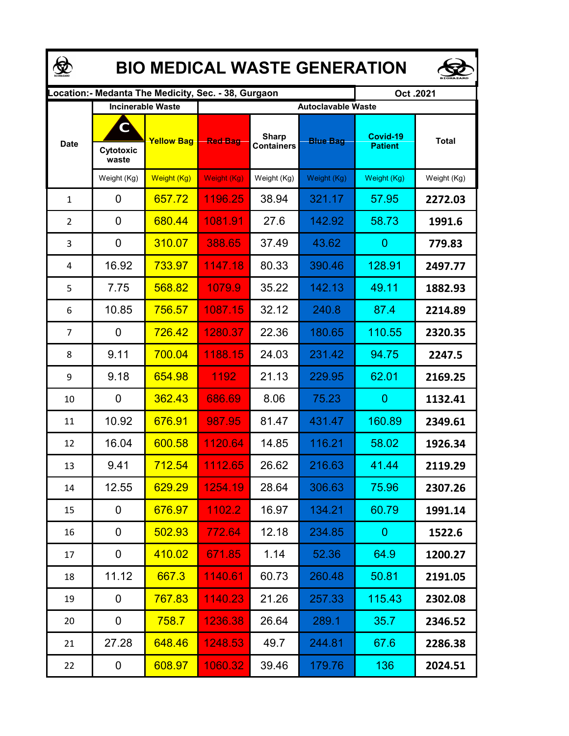| <b>BIO MEDICAL WASTE GENERATION</b> |                    |                          |                                                      |                                   |                           |                            |              |  |  |  |  |
|-------------------------------------|--------------------|--------------------------|------------------------------------------------------|-----------------------------------|---------------------------|----------------------------|--------------|--|--|--|--|
|                                     |                    |                          | Location: - Medanta The Medicity, Sec. - 38, Gurgaon |                                   |                           | Oct.2021                   |              |  |  |  |  |
| <b>Date</b>                         | C                  | <b>Incinerable Waste</b> |                                                      |                                   | <b>Autoclavable Waste</b> |                            |              |  |  |  |  |
|                                     | Cytotoxic<br>waste | <b>Yellow Bag</b>        | <b>Red Bag</b>                                       | <b>Sharp</b><br><b>Containers</b> | <b>Blue Bag</b>           | Covid-19<br><b>Patient</b> | <b>Total</b> |  |  |  |  |
|                                     | Weight (Kg)        | Weight (Kg)              | Weight (Kg)                                          | Weight (Kg)                       | Weight (Kg)               | Weight (Kg)                | Weight (Kg)  |  |  |  |  |
| $\mathbf{1}$                        | 0                  | 657.72                   | 1196.25                                              | 38.94                             | 321.17                    | 57.95                      | 2272.03      |  |  |  |  |
| $\overline{2}$                      | 0                  | 680.44                   | 1081.91                                              | 27.6                              | 142.92                    | 58.73                      | 1991.6       |  |  |  |  |
| 3                                   | 0                  | 310.07                   | 388.65                                               | 37.49                             | 43.62                     | $\overline{0}$             | 779.83       |  |  |  |  |
| 4                                   | 16.92              | 733.97                   | 1147.18                                              | 80.33                             | 390.46                    | 128.91                     | 2497.77      |  |  |  |  |
| 5                                   | 7.75               | 568.82                   | 1079.9                                               | 35.22                             | 142.13                    | 49.11                      | 1882.93      |  |  |  |  |
| 6                                   | 10.85              | 756.57                   | 1087.15                                              | 32.12                             | 240.8                     | 87.4                       | 2214.89      |  |  |  |  |
| $\overline{7}$                      | 0                  | 726.42                   | 1280.37                                              | 22.36                             | 180.65                    | 110.55                     | 2320.35      |  |  |  |  |
| 8                                   | 9.11               | 700.04                   | 1188.15                                              | 24.03                             | 231.42                    | 94.75                      | 2247.5       |  |  |  |  |
| 9                                   | 9.18               | 654.98                   | 1192                                                 | 21.13                             | 229.95                    | 62.01                      | 2169.25      |  |  |  |  |
| 10                                  | 0                  | 362.43                   | 686.69                                               | 8.06                              | 75.23                     | $\overline{0}$             | 1132.41      |  |  |  |  |
| 11                                  | 10.92              | 676.91                   | 987.95                                               | 81.47                             | 431.47                    | 160.89                     | 2349.61      |  |  |  |  |
| 12                                  | 16.04              | 600.58                   | 1120.64                                              | 14.85                             | 116.21                    | 58.02                      | 1926.34      |  |  |  |  |
| 13                                  | 9.41               | <b>712.54</b>            | 1112.65                                              | 26.62                             | 216.63                    | 41.44                      | 2119.29      |  |  |  |  |
| 14                                  | 12.55              | 629.29                   | 1254.19                                              | 28.64                             | 306.63                    | 75.96                      | 2307.26      |  |  |  |  |
| 15                                  | 0                  | 676.97                   | 1102.2                                               | 16.97                             | 134.21                    | 60.79                      | 1991.14      |  |  |  |  |
| 16                                  | 0                  | 502.93                   | 772.64                                               | 12.18                             | 234.85                    | $\mathbf{0}$               | 1522.6       |  |  |  |  |
| 17                                  | 0                  | 410.02                   | 671.85                                               | 1.14                              | 52.36                     | 64.9                       | 1200.27      |  |  |  |  |
| 18                                  | 11.12              | 667.3                    | 1140.61                                              | 60.73                             | 260.48                    | 50.81                      | 2191.05      |  |  |  |  |
| 19                                  | 0                  | 767.83                   | 1140.23                                              | 21.26                             | 257.33                    | 115.43                     | 2302.08      |  |  |  |  |
| 20                                  | 0                  | 758.7                    | 1236.38                                              | 26.64                             | 289.1                     | 35.7                       | 2346.52      |  |  |  |  |
| 21                                  | 27.28              | 648.46                   | 1248.53                                              | 49.7                              | 244.81                    | 67.6                       | 2286.38      |  |  |  |  |
| 22                                  | 0                  | 608.97                   | 1060.32                                              | 39.46                             | 179.76                    | 136                        | 2024.51      |  |  |  |  |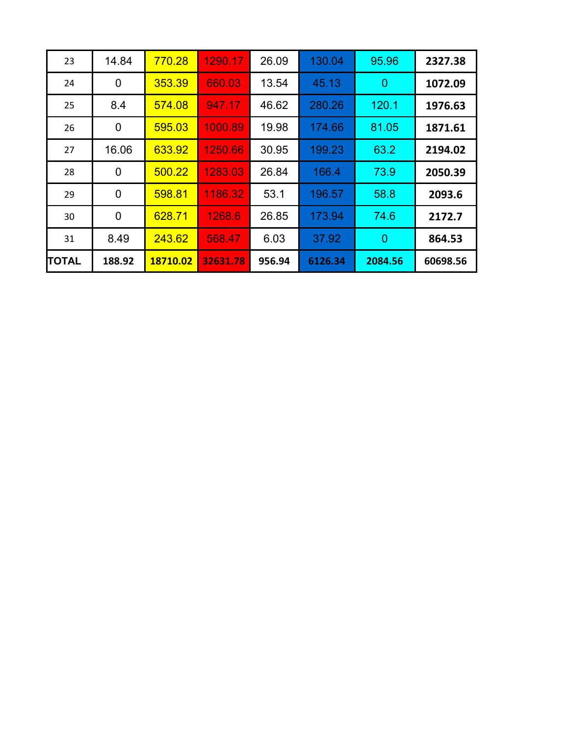| 23    | 14.84  | 770.28   | 1290.17  | 26.09  | 130.04  | 95.96          | 2327.38  |
|-------|--------|----------|----------|--------|---------|----------------|----------|
| 24    | 0      | 353.39   | 660.03   | 13.54  | 45.13   | $\overline{0}$ | 1072.09  |
| 25    | 8.4    | 574.08   | 947.17   | 46.62  | 280.26  | 120.1          | 1976.63  |
| 26    | 0      | 595.03   | 1000.89  | 19.98  | 174.66  | 81.05          | 1871.61  |
| 27    | 16.06  | 633.92   | 1250.66  | 30.95  | 199.23  | 63.2           | 2194.02  |
| 28    | 0      | 500.22   | 1283.03  | 26.84  | 166.4   | 73.9           | 2050.39  |
| 29    | 0      | 598.81   | 1186.32  | 53.1   | 196.57  | 58.8           | 2093.6   |
| 30    | 0      | 628.71   | 1268.6   | 26.85  | 173.94  | 74.6           | 2172.7   |
| 31    | 8.49   | 243.62   | 568.47   | 6.03   | 37.92   | $\overline{0}$ | 864.53   |
| TOTAL | 188.92 | 18710.02 | 32631.78 | 956.94 | 6126.34 | 2084.56        | 60698.56 |